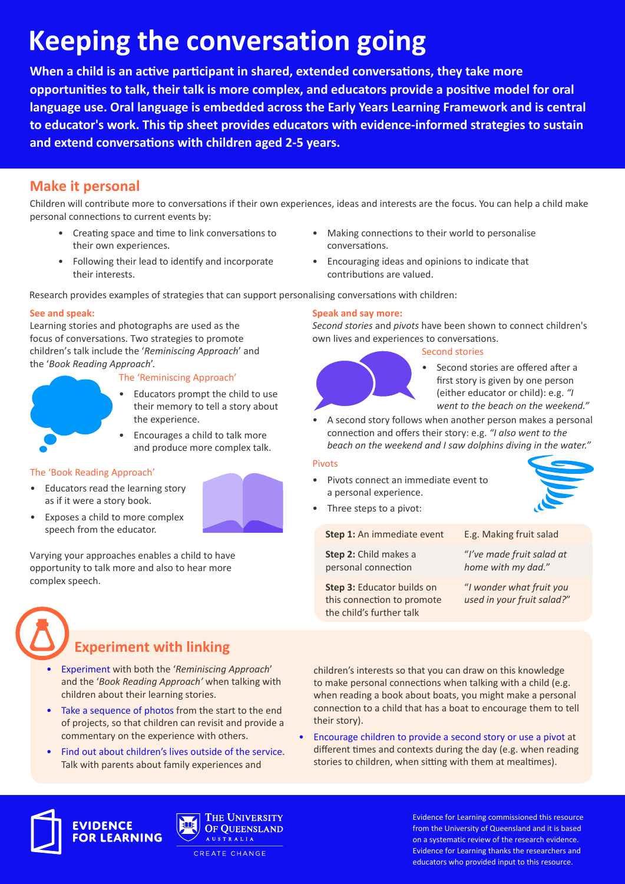# **Keeping the conversation going**

**When a child is an active participant in shared, extended conversations, they take more opportunities to talk, their talk is more complex, and educators provide a positive model for oral language use. Oral language is embedded across the Early Years Learning Framework and is central to educator's work. This tip sheet provides educators with evidence-informed strategies to sustain and extend conversations with children aged 2-5 years.** 

### **Make it personal**

Children will contribute more to conversations if their own experiences, ideas and interests are the focus. You can help a child make personal connections to current events by:

- Creating space and time to link conversations to their own experiences.
- Following their lead to identify and incorporate their interests.

Research provides examples of strategies that can support personalising conversations with children:

#### **See and speak:**

Learning stories and photographs are used as the focus of conversations. Two strategies to promote children's talk include the '*Reminiscing Approach*' and the '*Book Reading Approach*'.

#### The 'Reminiscing Approach'

- Educators prompt the child to use their memory to tell a story about the experience.
	- Encourages a child to talk more and produce more complex talk.

#### The 'Book Reading Approach'

- Educators read the learning story as if it were a story book.
- Exposes a child to more complex speech from the educator.

Varying your approaches enables a child to have opportunity to talk more and also to hear more complex speech.

### **Experiment with linking**

- Experiment with both the '*Reminiscing Approach*' and the '*Book Reading Approach'* when talking with children about their learning stories.
- Take a sequence of photos from the start to the end of projects, so that children can revisit and provide a commentary on the experience with others.
- Find out about children's lives outside of the service. Talk with parents about family experiences and
- Making connections to their world to personalise conversations.
- Encouraging ideas and opinions to indicate that contributions are valued.
- 

#### **Speak and say more:**

*Second stories* and *pivots* have been shown to connect children's own lives and experiences to conversations.

#### Second stories



- Second stories are offered after a first story is given by one person (either educator or child): e.g. *"I went to the beach on the weekend."*
- A second story follows when another person makes a personal connection and offers their story: e.g. *"I also went to the beach on the weekend and I saw dolphins diving in the water."*

#### Pivots

- Pivots connect an immediate event to a personal experience.
	- Three steps to a pivot:

**Step 1:** An immediate event

**Step 2:** Child makes a personal connection

E.g. Making fruit salad

"*I've made fruit salad at home with my dad.*"

**Step 3:** Educator builds on this connection to promote the child's further talk

"*I wonder what fruit you used in your fruit salad?*"

children's interests so that you can draw on this knowledge to make personal connections when talking with a child (e.g. when reading a book about boats, you might make a personal connection to a child that has a boat to encourage them to tell their story).

• Encourage children to provide a second story or use a pivot at different times and contexts during the day (e.g. when reading stories to children, when sitting with them at mealtimes).







Evidence for Learning commissioned this resource from the University of Queensland and it is based on a systematic review of the research evidence. Evidence for Learning thanks the researchers and educators who provided input to this resource.